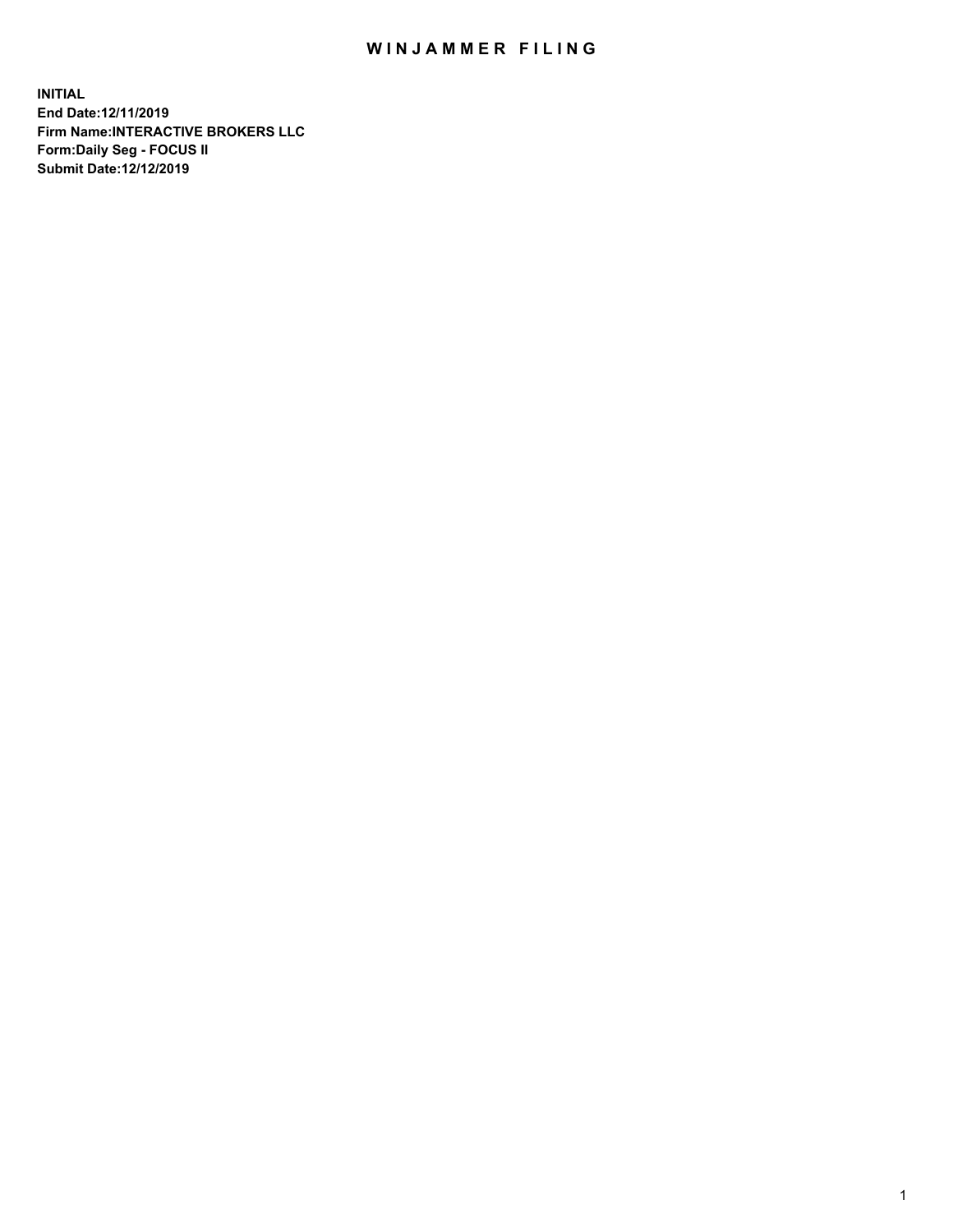## WIN JAMMER FILING

**INITIAL End Date:12/11/2019 Firm Name:INTERACTIVE BROKERS LLC Form:Daily Seg - FOCUS II Submit Date:12/12/2019**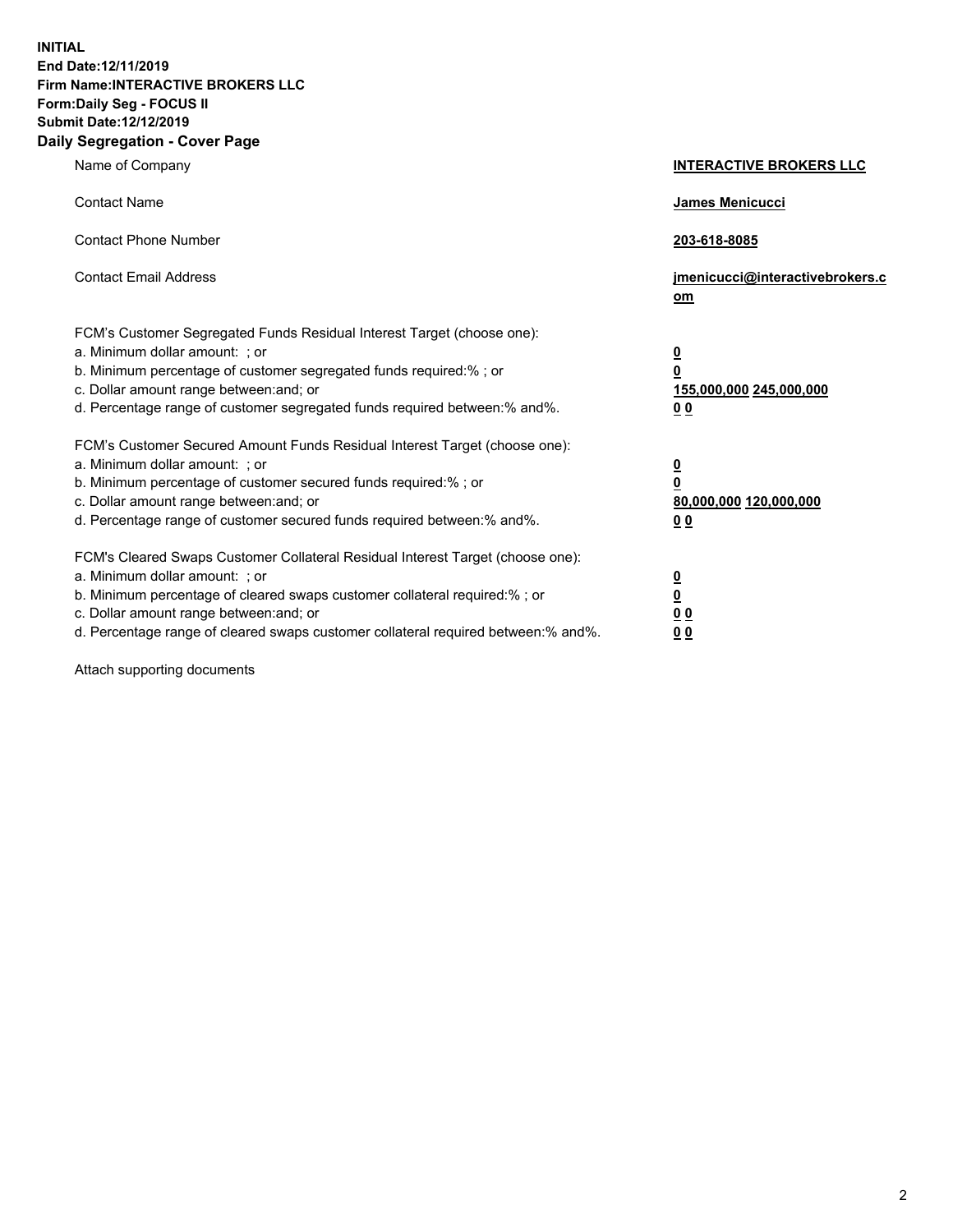**INITIAL End Date:12/11/2019 Firm Name:INTERACTIVE BROKERS LLC Form:Daily Seg - FOCUS II Submit Date:12/12/2019 Daily Segregation - Cover Page**

| Name of Company                                                                                                                                                                                                                                                                                                                | <b>INTERACTIVE BROKERS LLC</b>                                                                  |
|--------------------------------------------------------------------------------------------------------------------------------------------------------------------------------------------------------------------------------------------------------------------------------------------------------------------------------|-------------------------------------------------------------------------------------------------|
| <b>Contact Name</b>                                                                                                                                                                                                                                                                                                            | James Menicucci                                                                                 |
| <b>Contact Phone Number</b>                                                                                                                                                                                                                                                                                                    | 203-618-8085                                                                                    |
| <b>Contact Email Address</b>                                                                                                                                                                                                                                                                                                   | jmenicucci@interactivebrokers.c<br>om                                                           |
| FCM's Customer Segregated Funds Residual Interest Target (choose one):<br>a. Minimum dollar amount: ; or<br>b. Minimum percentage of customer segregated funds required:% ; or<br>c. Dollar amount range between: and; or<br>d. Percentage range of customer segregated funds required between:% and%.                         | $\overline{\mathbf{0}}$<br>$\overline{\mathbf{0}}$<br>155,000,000 245,000,000<br>0 <sub>0</sub> |
| FCM's Customer Secured Amount Funds Residual Interest Target (choose one):<br>a. Minimum dollar amount: ; or<br>b. Minimum percentage of customer secured funds required:%; or<br>c. Dollar amount range between: and; or<br>d. Percentage range of customer secured funds required between:% and%.                            | $\overline{\mathbf{0}}$<br>$\overline{\mathbf{0}}$<br>80,000,000 120,000,000<br>0 <sub>0</sub>  |
| FCM's Cleared Swaps Customer Collateral Residual Interest Target (choose one):<br>a. Minimum dollar amount: ; or<br>b. Minimum percentage of cleared swaps customer collateral required:% ; or<br>c. Dollar amount range between: and; or<br>d. Percentage range of cleared swaps customer collateral required between:% and%. | $\overline{\mathbf{0}}$<br>$\underline{\mathbf{0}}$<br>0 <sub>0</sub><br>0 <sub>0</sub>         |

Attach supporting documents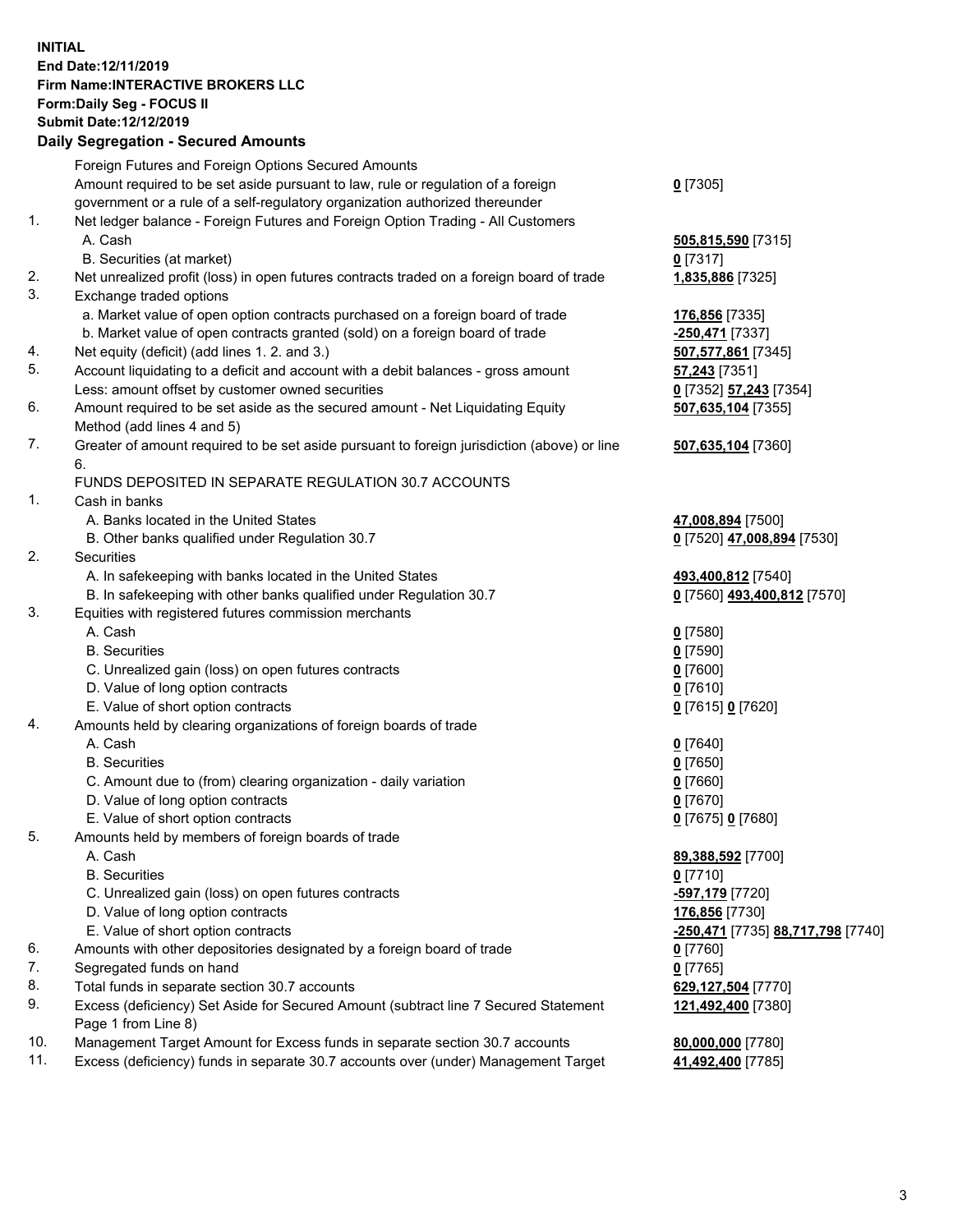## **INITIAL End Date:12/11/2019 Firm Name:INTERACTIVE BROKERS LLC Form:Daily Seg - FOCUS II Submit Date:12/12/2019 Daily Segregation - Secured Amounts**

|     | Daily Segregation - Secured Amounts                                                                                       |                                                |
|-----|---------------------------------------------------------------------------------------------------------------------------|------------------------------------------------|
|     | Foreign Futures and Foreign Options Secured Amounts                                                                       |                                                |
|     | Amount required to be set aside pursuant to law, rule or regulation of a foreign                                          | $0$ [7305]                                     |
|     | government or a rule of a self-regulatory organization authorized thereunder                                              |                                                |
| 1.  | Net ledger balance - Foreign Futures and Foreign Option Trading - All Customers                                           |                                                |
|     | A. Cash                                                                                                                   | 505,815,590 [7315]                             |
|     | B. Securities (at market)                                                                                                 | $0$ [7317]                                     |
| 2.  | Net unrealized profit (loss) in open futures contracts traded on a foreign board of trade                                 | 1,835,886 [7325]                               |
| 3.  | Exchange traded options                                                                                                   |                                                |
|     | a. Market value of open option contracts purchased on a foreign board of trade                                            | 176,856 [7335]                                 |
|     | b. Market value of open contracts granted (sold) on a foreign board of trade                                              | -250,471 [7337]                                |
| 4.  | Net equity (deficit) (add lines 1.2. and 3.)                                                                              | 507,577,861 [7345]                             |
| 5.  | Account liquidating to a deficit and account with a debit balances - gross amount                                         | <b>57,243</b> [7351]                           |
|     | Less: amount offset by customer owned securities                                                                          | 0 [7352] 57,243 [7354]                         |
| 6.  | Amount required to be set aside as the secured amount - Net Liquidating Equity                                            | 507,635,104 [7355]                             |
| 7.  | Method (add lines 4 and 5)<br>Greater of amount required to be set aside pursuant to foreign jurisdiction (above) or line |                                                |
|     | 6.                                                                                                                        | 507,635,104 [7360]                             |
|     | FUNDS DEPOSITED IN SEPARATE REGULATION 30.7 ACCOUNTS                                                                      |                                                |
| 1.  | Cash in banks                                                                                                             |                                                |
|     | A. Banks located in the United States                                                                                     | 47,008,894 [7500]                              |
|     | B. Other banks qualified under Regulation 30.7                                                                            | 0 [7520] 47,008,894 [7530]                     |
| 2.  | Securities                                                                                                                |                                                |
|     | A. In safekeeping with banks located in the United States                                                                 | 493,400,812 [7540]                             |
|     | B. In safekeeping with other banks qualified under Regulation 30.7                                                        | 0 [7560] 493,400,812 [7570]                    |
| 3.  | Equities with registered futures commission merchants                                                                     |                                                |
|     | A. Cash                                                                                                                   | $0$ [7580]                                     |
|     | <b>B.</b> Securities                                                                                                      | $0$ [7590]                                     |
|     | C. Unrealized gain (loss) on open futures contracts                                                                       | $0$ [7600]                                     |
|     | D. Value of long option contracts                                                                                         | $0$ [7610]                                     |
|     | E. Value of short option contracts                                                                                        | 0 [7615] 0 [7620]                              |
| 4.  | Amounts held by clearing organizations of foreign boards of trade                                                         |                                                |
|     | A. Cash                                                                                                                   | $0$ [7640]                                     |
|     | <b>B.</b> Securities                                                                                                      | $0$ [7650]                                     |
|     | C. Amount due to (from) clearing organization - daily variation                                                           | $0$ [7660]                                     |
|     | D. Value of long option contracts                                                                                         | $0$ [7670]                                     |
|     | E. Value of short option contracts                                                                                        | 0 [7675] 0 [7680]                              |
| 5.  | Amounts held by members of foreign boards of trade                                                                        |                                                |
|     | A. Cash                                                                                                                   | 89,388,592 [7700]                              |
|     | <b>B.</b> Securities                                                                                                      | $0$ [7710]                                     |
|     | C. Unrealized gain (loss) on open futures contracts                                                                       | -597,179 [7720]                                |
|     | D. Value of long option contracts                                                                                         | 176,856 [7730]                                 |
|     | E. Value of short option contracts                                                                                        | <mark>-250,471</mark> [7735] 88,717,798 [7740] |
| 6.  | Amounts with other depositories designated by a foreign board of trade                                                    | $0$ [7760]                                     |
| 7.  | Segregated funds on hand                                                                                                  | $0$ [7765]                                     |
| 8.  | Total funds in separate section 30.7 accounts                                                                             | 629,127,504 [7770]                             |
| 9.  | Excess (deficiency) Set Aside for Secured Amount (subtract line 7 Secured Statement<br>Page 1 from Line 8)                | 121,492,400 [7380]                             |
| 10. | Management Target Amount for Excess funds in separate section 30.7 accounts                                               | 80,000,000 [7780]                              |
| 11. | Excess (deficiency) funds in separate 30.7 accounts over (under) Management Target                                        | 41,492,400 [7785]                              |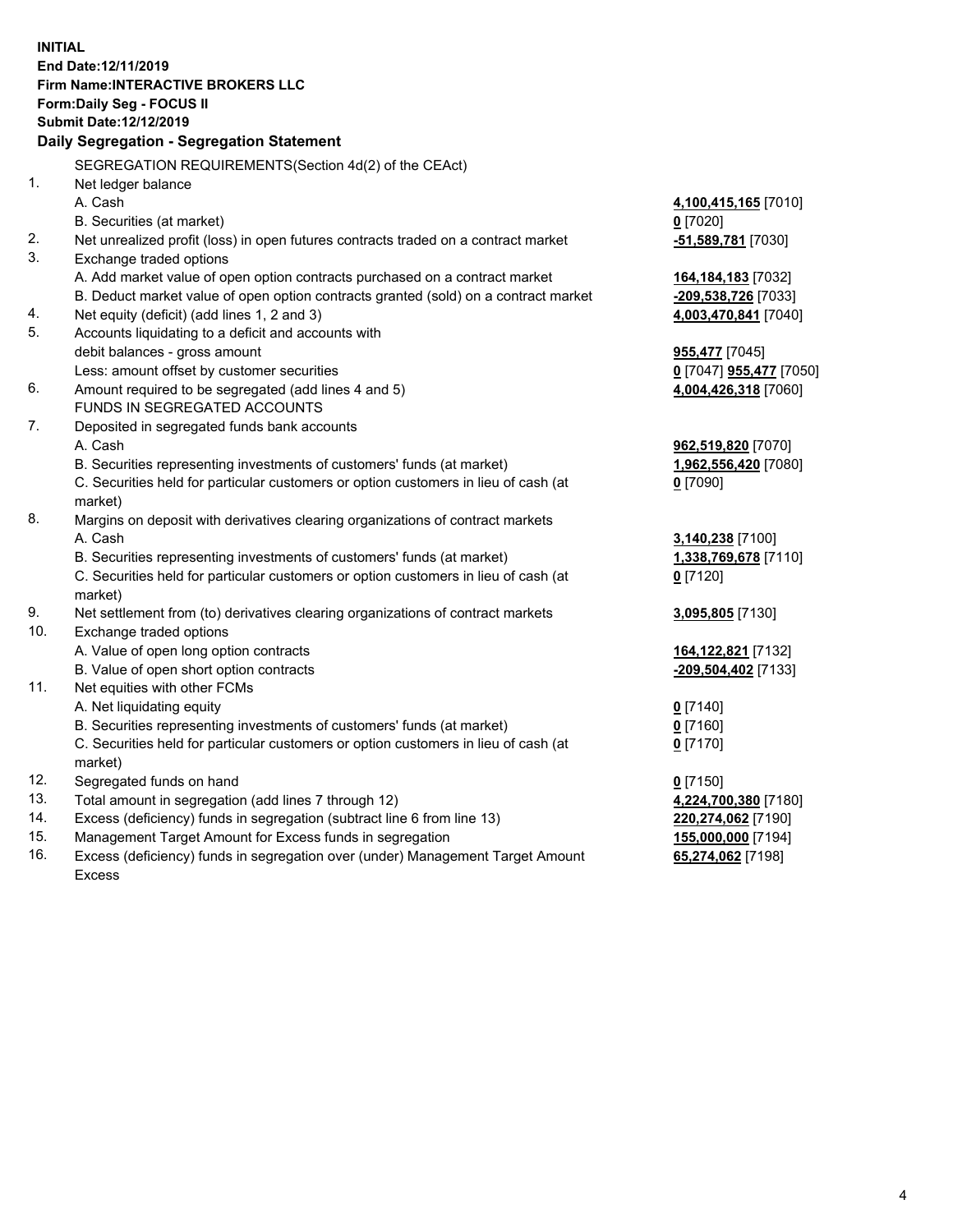**INITIAL End Date:12/11/2019 Firm Name:INTERACTIVE BROKERS LLC Form:Daily Seg - FOCUS II Submit Date:12/12/2019 Daily Segregation - Segregation Statement** SEGREGATION REQUIREMENTS(Section 4d(2) of the CEAct) 1. Net ledger balance A. Cash **4,100,415,165** [7010] B. Securities (at market) **0** [7020] 2. Net unrealized profit (loss) in open futures contracts traded on a contract market **-51,589,781** [7030] 3. Exchange traded options A. Add market value of open option contracts purchased on a contract market **164,184,183** [7032] B. Deduct market value of open option contracts granted (sold) on a contract market **-209,538,726** [7033] 4. Net equity (deficit) (add lines 1, 2 and 3) **4,003,470,841** [7040] 5. Accounts liquidating to a deficit and accounts with debit balances - gross amount **955,477** [7045] Less: amount offset by customer securities **0** [7047] **955,477** [7050] 6. Amount required to be segregated (add lines 4 and 5) **4,004,426,318** [7060] FUNDS IN SEGREGATED ACCOUNTS 7. Deposited in segregated funds bank accounts A. Cash **962,519,820** [7070] B. Securities representing investments of customers' funds (at market) **1,962,556,420** [7080] C. Securities held for particular customers or option customers in lieu of cash (at market) **0** [7090] 8. Margins on deposit with derivatives clearing organizations of contract markets A. Cash **3,140,238** [7100] B. Securities representing investments of customers' funds (at market) **1,338,769,678** [7110] C. Securities held for particular customers or option customers in lieu of cash (at market) **0** [7120] 9. Net settlement from (to) derivatives clearing organizations of contract markets **3,095,805** [7130] 10. Exchange traded options A. Value of open long option contracts **164,122,821** [7132] B. Value of open short option contracts **-209,504,402** [7133] 11. Net equities with other FCMs A. Net liquidating equity **0** [7140] B. Securities representing investments of customers' funds (at market) **0** [7160] C. Securities held for particular customers or option customers in lieu of cash (at market) **0** [7170] 12. Segregated funds on hand **0** [7150] 13. Total amount in segregation (add lines 7 through 12) **4,224,700,380** [7180] 14. Excess (deficiency) funds in segregation (subtract line 6 from line 13) **220,274,062** [7190] 15. Management Target Amount for Excess funds in segregation **155,000,000** [7194] **65,274,062** [7198]

16. Excess (deficiency) funds in segregation over (under) Management Target Amount Excess